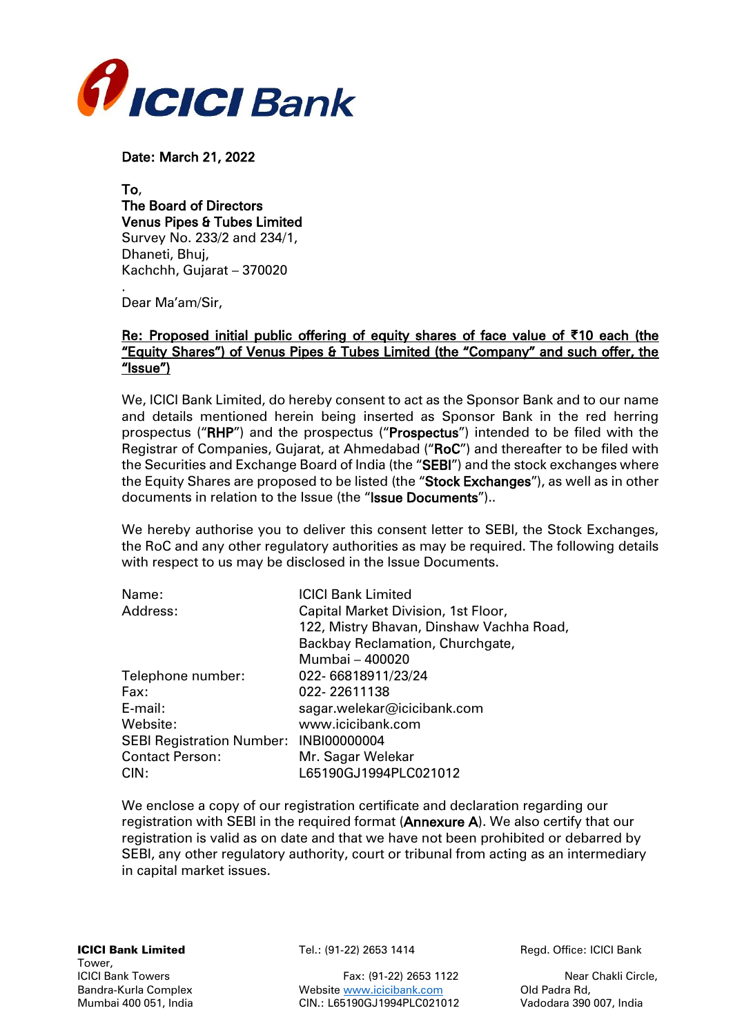

Date: March 21, 2022

To, The Board of Directors Venus Pipes & Tubes Limited Survey No. 233/2 and 234/1, Dhaneti, Bhuj, Kachchh, Gujarat – 370020

. Dear Ma'am/Sir,

## Re: Proposed initial public offering of equity shares of face value of **₹**10 each (the "Equity Shares") of Venus Pipes & Tubes Limited (the "Company" and such offer, the "Issue")

We, ICICI Bank Limited, do hereby consent to act as the Sponsor Bank and to our name and details mentioned herein being inserted as Sponsor Bank in the red herring prospectus ("RHP") and the prospectus ("Prospectus") intended to be filed with the Registrar of Companies, Gujarat, at Ahmedabad ("RoC") and thereafter to be filed with the Securities and Exchange Board of India (the "SEBI") and the stock exchanges where the Equity Shares are proposed to be listed (the "Stock Exchanges"), as well as in other documents in relation to the Issue (the "Issue Documents")..

We hereby authorise you to deliver this consent letter to SEBI, the Stock Exchanges, the RoC and any other regulatory authorities as may be required. The following details with respect to us may be disclosed in the Issue Documents.

| Name:                                  | <b>ICICI Bank Limited</b>                |  |
|----------------------------------------|------------------------------------------|--|
| Address:                               | Capital Market Division, 1st Floor,      |  |
|                                        | 122, Mistry Bhavan, Dinshaw Vachha Road, |  |
|                                        | Backbay Reclamation, Churchgate,         |  |
|                                        | Mumbai - 400020                          |  |
| Telephone number:                      | 022-66818911/23/24                       |  |
| Fax:                                   | 022-22611138                             |  |
| E-mail:                                | sagar.welekar@icicibank.com              |  |
| Website:                               | www.icicibank.com                        |  |
| SEBI Registration Number: INBI00000004 |                                          |  |
| <b>Contact Person:</b>                 | Mr. Sagar Welekar                        |  |
| CIN:                                   | L65190GJ1994PLC021012                    |  |

We enclose a copy of our registration certificate and declaration regarding our registration with SEBI in the required format (Annexure A). We also certify that our registration is valid as on date and that we have not been prohibited or debarred by SEBI, any other regulatory authority, court or tribunal from acting as an intermediary in capital market issues.

ICICI Bank Towers Fax: (91-22) 2653 1122 Near Chakli Circle,<br>Bandra-Kurla Complex Messite www.icicibank.com Did Padra Rd, Bandra-Kurla Complex Website [www.icicibank.com](http://www.icicibank.com/) Mumbai 400 051, India CIN.: L65190GJ1994PLC021012 Vadodara 390 007, India

**ICICI Bank Limited** Tel.: (91-22) 2653 1414 Regd. Office: ICICI Bank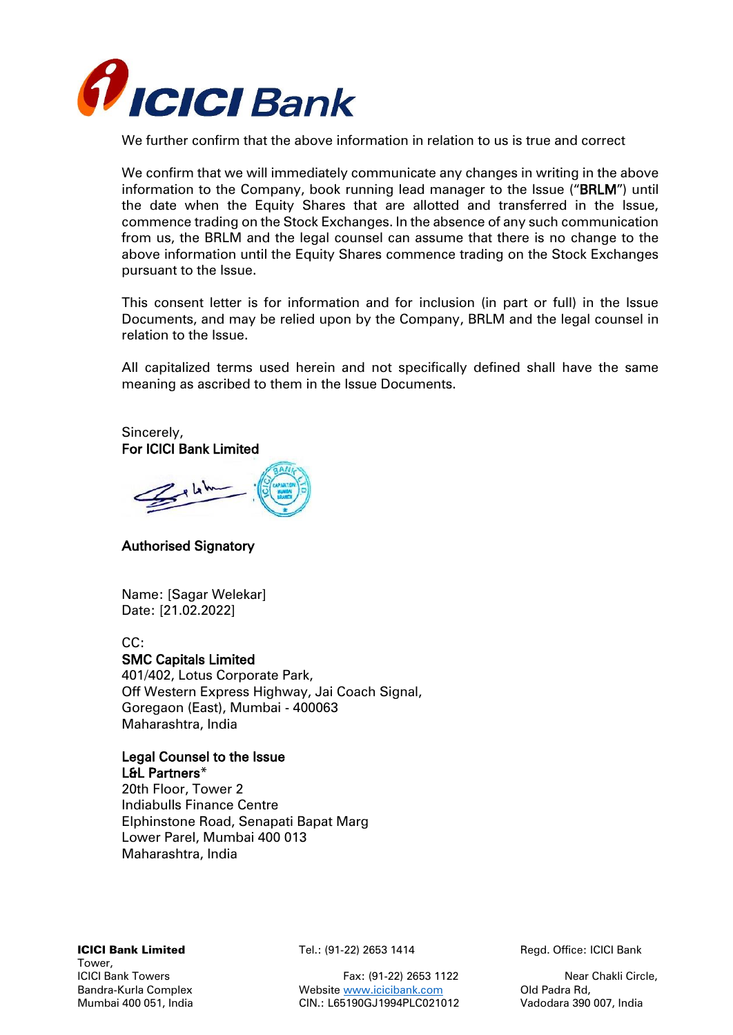

We further confirm that the above information in relation to us is true and correct

We confirm that we will immediately communicate any changes in writing in the above information to the Company, book running lead manager to the Issue ("BRLM") until the date when the Equity Shares that are allotted and transferred in the Issue, commence trading on the Stock Exchanges. In the absence of any such communication from us, the BRLM and the legal counsel can assume that there is no change to the above information until the Equity Shares commence trading on the Stock Exchanges pursuant to the Issue.

This consent letter is for information and for inclusion (in part or full) in the Issue Documents, and may be relied upon by the Company, BRLM and the legal counsel in relation to the Issue.

All capitalized terms used herein and not specifically defined shall have the same meaning as ascribed to them in the Issue Documents.

Sincerely, For ICICI Bank Limited

Gelsh

## Authorised Signatory

Name: [Sagar Welekar] Date: [21.02.2022]

### CC:

### SMC Capitals Limited

401/402, Lotus Corporate Park, Off Western Express Highway, Jai Coach Signal, Goregaon (East), Mumbai - 400063 Maharashtra, India

# Legal Counsel to the Issue

L&L Partners\* 20th Floor, Tower 2 Indiabulls Finance Centre Elphinstone Road, Senapati Bapat Marg Lower Parel, Mumbai 400 013 Maharashtra, India

Tower,

**ICICI Bank Limited** Tel.: (91-22) 2653 1414 Regd. Office: ICICI Bank

ICICI Bank Towers Fax: (91-22) 2653 1122 Near Chakli Circle,<br>Bandra-Kurla Complex Messite www.icicibank.com Did Padra Rd, Bandra-Kurla Complex Website [www.icicibank.com](http://www.icicibank.com/) Mumbai 400 051, India CIN.: L65190GJ1994PLC021012 Vadodara 390 007, India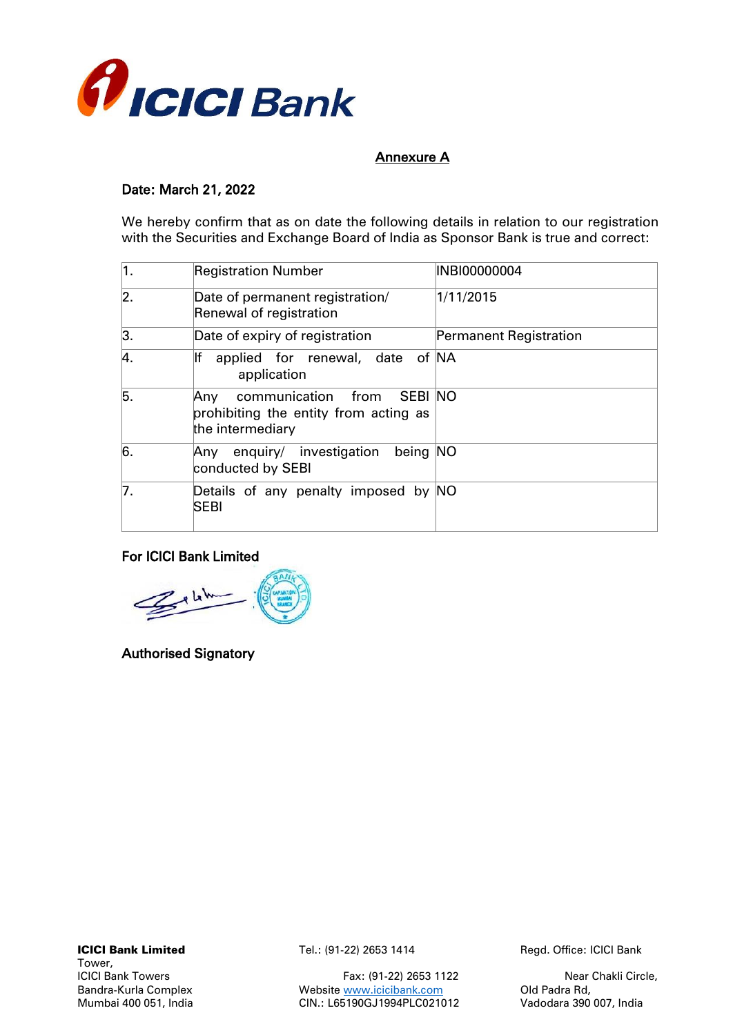

## Annexure A

## Date: March 21, 2022

We hereby confirm that as on date the following details in relation to our registration with the Securities and Exchange Board of India as Sponsor Bank is true and correct:

| ∣1. | <b>Registration Number</b>                                                                     | INBI00000004           |
|-----|------------------------------------------------------------------------------------------------|------------------------|
| 2.  | Date of permanent registration/<br>Renewal of registration                                     | 1/11/2015              |
| 3.  | Date of expiry of registration                                                                 | Permanent Registration |
| 4.  | applied for renewal, date of NA<br>application                                                 |                        |
| 5.  | communication from SEBI NO<br>Any<br>prohibiting the entity from acting as<br>the intermediary |                        |
| 6.  | enquiry/ investigation<br>being NO<br>Any<br>conducted by SEBI                                 |                        |
| 7.  | Details of any penalty imposed by NO<br><b>SEBI</b>                                            |                        |

## For ICICI Bank Limited

 $\leq$ 

Authorised Signatory